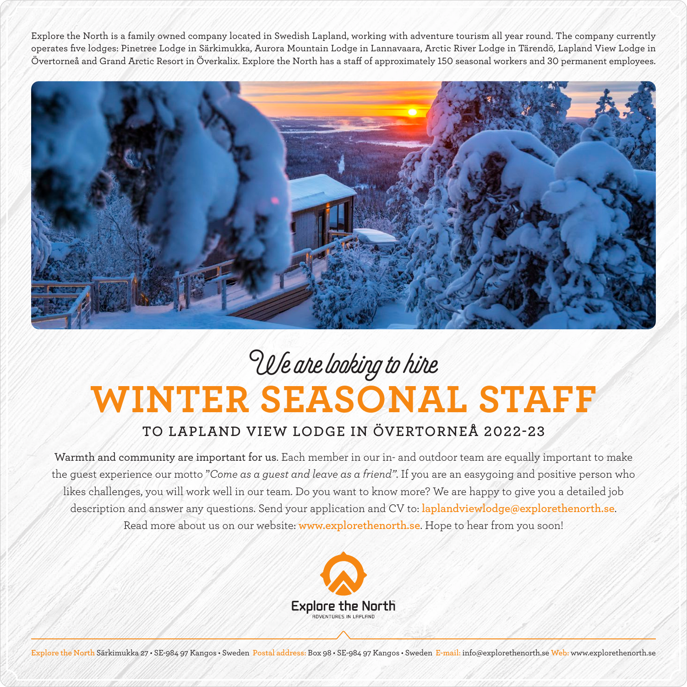Explore the North is a family owned company located in Swedish Lapland, working with adventure tourism all year round. The company currently operates five lodges: Pinetree Lodge in Särkimukka, Aurora Mountain Lodge in Lannavaara, Arctic River Lodge in Tärendö, Lapland View Lodge in Övertorneå and Grand Arctic Resort in Överkalix. Explore the North has a staff of approximately 150 seasonal workers and 30 permanent employees.



## **WINTER SEASONAL STAFF** We are looking to hire

## **TO LAPLAND VIEW LODGE IN ÖVERTORNEÅ 2022-23**

Warmth and community are important for us. Each member in our in- and outdoor team are equally important to make the guest experience our motto "*Come as a guest and leave as a friend"*. If you are an easygoing and positive person who likes challenges, you will work well in our team. Do you want to know more? We are happy to give you a detailed job description and answer any questions. Send your application and CV to: **laplandviewlodge@explorethenorth.se**. Read more about us on our website: **www.explorethenorth.se**. Hope to hear from you soon!